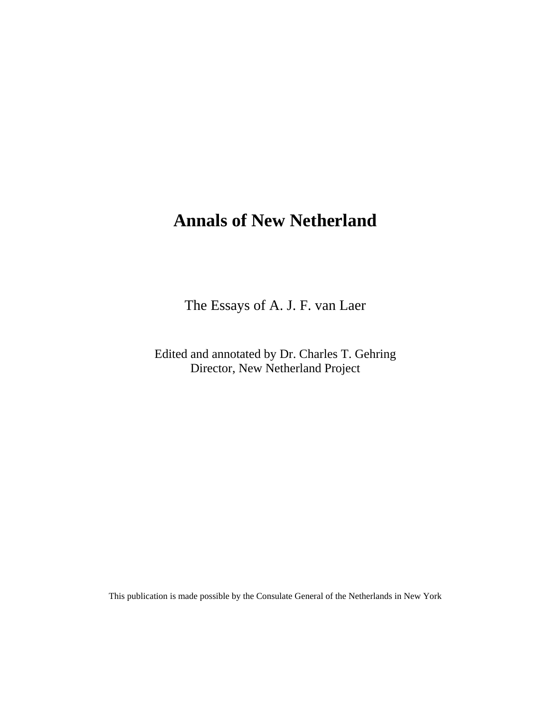# **Annals of New Netherland**

The Essays of A. J. F. van Laer

Edited and annotated by Dr. Charles T. Gehring Director, New Netherland Project

This publication is made possible by the Consulate General of the Netherlands in New York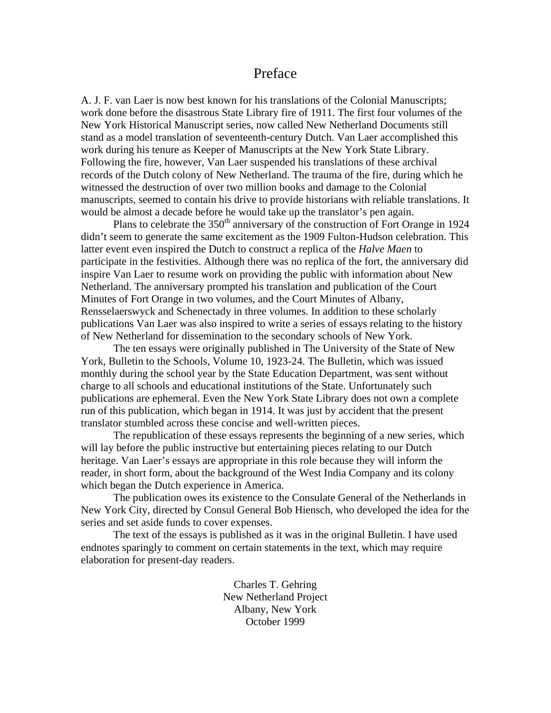# Preface

A. J. F. van Laer is now best known for his translations of the Colonial Manuscripts; work done before the disastrous State Library fire of 1911. The first four volumes of the New York Historical Manuscript series, now called New Netherland Documents still stand as a model translation of seventeenth-century Dutch. Van Laer accomplished this work during his tenure as Keeper of Manuscripts at the New York State Library. Following the fire, however, Van Laer suspended his translations of these archival records of the Dutch colony of New Netherland. The trauma of the fire, during which he witnessed the destruction of over two million books and damage to the Colonial manuscripts, seemed to contain his drive to provide historians with reliable translations. It would be almost a decade before he would take up the translator's pen again.

Plans to celebrate the  $350<sup>th</sup>$  anniversary of the construction of Fort Orange in 1924 didn't seem to generate the same excitement as the 1909 Fulton-Hudson celebration. This latter event even inspired the Dutch to construct a replica of the *Halve Maen* to participate in the festivities. Although there was no replica of the fort, the anniversary did inspire Van Laer to resume work on providing the public with information about New Netherland. The anniversary prompted his translation and publication of the Court Minutes of Fort Orange in two volumes, and the Court Minutes of Albany, Rensselaerswyck and Schenectady in three volumes. In addition to these scholarly publications Van Laer was also inspired to write a series of essays relating to the history of New Netherland for dissemination to the secondary schools of New York.

The ten essays were originally published in The University of the State of New York, Bulletin to the Schools, Volume 10, 1923-24. The Bulletin, which was issued monthly during the school year by the State Education Department, was sent without charge to all schools and educational institutions of the State. Unfortunately such publications are ephemeral. Even the New York State Library does not own a complete run of this publication, which began in 1914. It was just by accident that the present translator stumbled across these concise and well-written pieces.

The republication of these essays represents the beginning of a new series, which will lay before the public instructive but entertaining pieces relating to our Dutch heritage. Van Laer's essays are appropriate in this role because they will inform the reader, in short form, about the background of the West India Company and its colony which began the Dutch experience in America.

The publication owes its existence to the Consulate General of the Netherlands in New York City, directed by Consul General Bob Hiensch, who developed the idea for the series and set aside funds to cover expenses.

The text of the essays is published as it was in the original Bulletin. I have used endnotes sparingly to comment on certain statements in the text, which may require elaboration for present-day readers.

> Charles T. Gehring New Netherland Project Albany, New York October 1999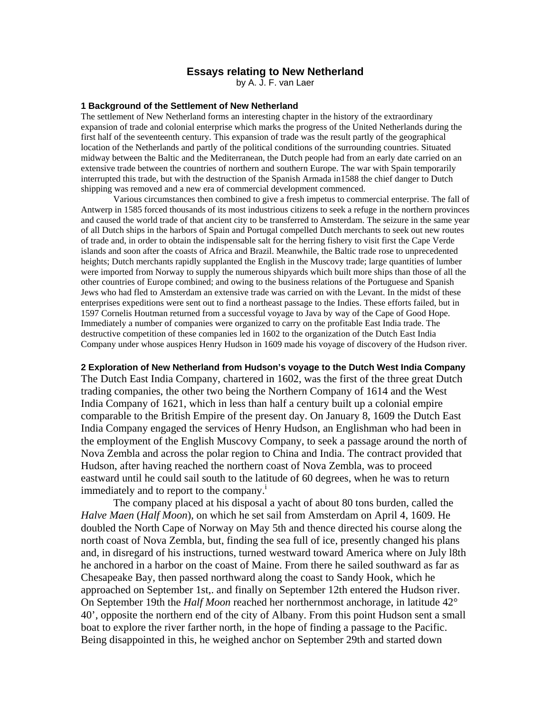# **Essays relating to New Netherland**

by A. J. F. van Laer

#### **1 Background of the Settlement of New Netherland**

The settlement of New Netherland forms an interesting chapter in the history of the extraordinary expansion of trade and colonial enterprise which marks the progress of the United Netherlands during the first half of the seventeenth century. This expansion of trade was the result partly of the geographical location of the Netherlands and partly of the political conditions of the surrounding countries. Situated midway between the Baltic and the Mediterranean, the Dutch people had from an early date carried on an extensive trade between the countries of northern and southern Europe. The war with Spain temporarily interrupted this trade, but with the destruction of the Spanish Armada in1588 the chief danger to Dutch shipping was removed and a new era of commercial development commenced.

 Various circumstances then combined to give a fresh impetus to commercial enterprise. The fall of Antwerp in 1585 forced thousands of its most industrious citizens to seek a refuge in the northern provinces and caused the world trade of that ancient city to be transferred to Amsterdam. The seizure in the same year of all Dutch ships in the harbors of Spain and Portugal compelled Dutch merchants to seek out new routes of trade and, in order to obtain the indispensable salt for the herring fishery to visit first the Cape Verde islands and soon after the coasts of Africa and Brazil. Meanwhile, the Baltic trade rose to unprecedented heights; Dutch merchants rapidly supplanted the English in the Muscovy trade; large quantities of lumber were imported from Norway to supply the numerous shipyards which built more ships than those of all the other countries of Europe combined; and owing to the business relations of the Portuguese and Spanish Jews who had fled to Amsterdam an extensive trade was carried on with the Levant. In the midst of these enterprises expeditions were sent out to find a northeast passage to the Indies. These efforts failed, but in 1597 Cornelis Houtman returned from a successful voyage to Java by way of the Cape of Good Hope. Immediately a number of companies were organized to carry on the profitable East India trade. The destructive competition of these companies led in 1602 to the organization of the Dutch East India Company under whose auspices Henry Hudson in 1609 made his voyage of discovery of the Hudson river.

#### **2 Exploration of New Netherland from Hudson's voyage to the Dutch West India Company**

The Dutch East India Company, chartered in 1602, was the first of the three great Dutch trading companies, the other two being the Northern Company of 1614 and the West India Company of 1621, which in less than half a century built up a colonial empire comparable to the British Empire of the present day. On January 8, 1609 the Dutch East India Company engaged the services of Henry Hudson, an Englishman who had been in the employment of the English Muscovy Company, to seek a passage around the north of Nova Zembla and across the polar region to China and India. The contract provided that Hudson, after having reached the northern coast of Nova Zembla, was to proceed eastward until he could sail south to the latitude of 60 degrees, when he was to return [i](#page-19-0)mmediately and to report to the company.<sup>1</sup>

 The company placed at his disposal a yacht of about 80 tons burden, called the *Halve Maen* (*Half Moon*), on which he set sail from Amsterdam on April 4, 1609. He doubled the North Cape of Norway on May 5th and thence directed his course along the north coast of Nova Zembla, but, finding the sea full of ice, presently changed his plans and, in disregard of his instructions, turned westward toward America where on July l8th he anchored in a harbor on the coast of Maine. From there he sailed southward as far as Chesapeake Bay, then passed northward along the coast to Sandy Hook, which he approached on September 1st,. and finally on September 12th entered the Hudson river. On September 19th the *Half Moon* reached her northernmost anchorage, in latitude 42° 40', opposite the northern end of the city of Albany. From this point Hudson sent a small boat to explore the river farther north, in the hope of finding a passage to the Pacific. Being disappointed in this, he weighed anchor on September 29th and started down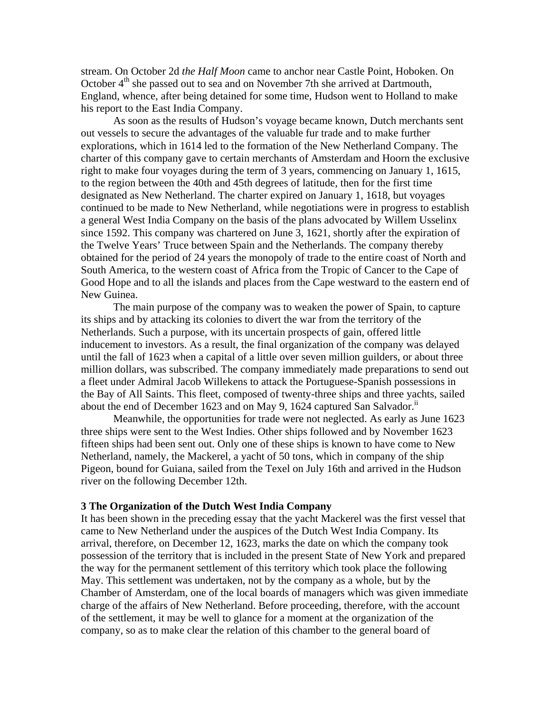stream. On October 2d *the Half Moon* came to anchor near Castle Point, Hoboken. On October  $4<sup>th</sup>$  she passed out to sea and on November 7th she arrived at Dartmouth, England, whence, after being detained for some time, Hudson went to Holland to make his report to the East India Company.

 As soon as the results of Hudson's voyage became known, Dutch merchants sent out vessels to secure the advantages of the valuable fur trade and to make further explorations, which in 1614 led to the formation of the New Netherland Company. The charter of this company gave to certain merchants of Amsterdam and Hoorn the exclusive right to make four voyages during the term of 3 years, commencing on January 1, 1615, to the region between the 40th and 45th degrees of latitude, then for the first time designated as New Netherland. The charter expired on January 1, 1618, but voyages continued to be made to New Netherland, while negotiations were in progress to establish a general West India Company on the basis of the plans advocated by Willem Usselinx since 1592. This company was chartered on June 3, 1621, shortly after the expiration of the Twelve Years' Truce between Spain and the Netherlands. The company thereby obtained for the period of 24 years the monopoly of trade to the entire coast of North and South America, to the western coast of Africa from the Tropic of Cancer to the Cape of Good Hope and to all the islands and places from the Cape westward to the eastern end of New Guinea.

 The main purpose of the company was to weaken the power of Spain, to capture its ships and by attacking its colonies to divert the war from the territory of the Netherlands. Such a purpose, with its uncertain prospects of gain, offered little inducement to investors. As a result, the final organization of the company was delayed until the fall of 1623 when a capital of a little over seven million guilders, or about three million dollars, was subscribed. The company immediately made preparations to send out a fleet under Admiral Jacob Willekens to attack the Portuguese-Spanish possessions in the Bay of All Saints. This fleet, composed of twenty-three ships and three yachts, sailed about the end of December 1623 and on May 9, 1624 captured San Salvador.<sup>[ii](#page-19-1)</sup>

 Meanwhile, the opportunities for trade were not neglected. As early as June 1623 three ships were sent to the West Indies. Other ships followed and by November 1623 fifteen ships had been sent out. Only one of these ships is known to have come to New Netherland, namely, the Mackerel, a yacht of 50 tons, which in company of the ship Pigeon, bound for Guiana, sailed from the Texel on July 16th and arrived in the Hudson river on the following December 12th.

#### **3 The Organization of the Dutch West India Company**

It has been shown in the preceding essay that the yacht Mackerel was the first vessel that came to New Netherland under the auspices of the Dutch West India Company. Its arrival, therefore, on December 12, 1623, marks the date on which the company took possession of the territory that is included in the present State of New York and prepared the way for the permanent settlement of this territory which took place the following May. This settlement was undertaken, not by the company as a whole, but by the Chamber of Amsterdam, one of the local boards of managers which was given immediate charge of the affairs of New Netherland. Before proceeding, therefore, with the account of the settlement, it may be well to glance for a moment at the organization of the company, so as to make clear the relation of this chamber to the general board of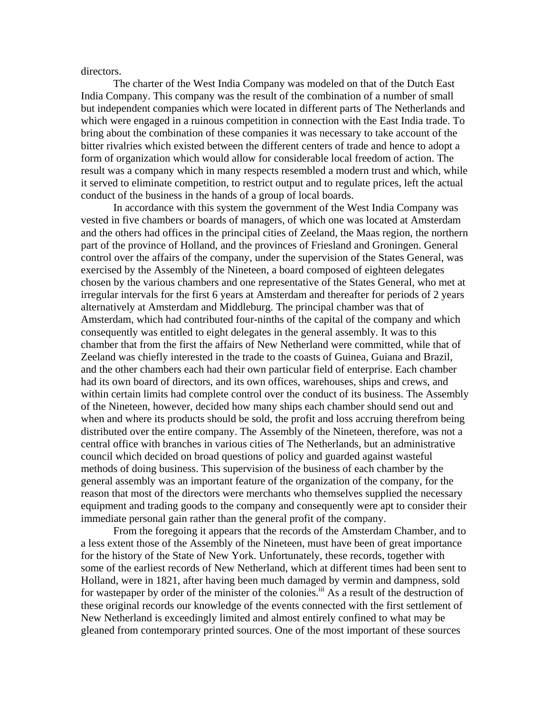directors.

 The charter of the West India Company was modeled on that of the Dutch East India Company. This company was the result of the combination of a number of small but independent companies which were located in different parts of The Netherlands and which were engaged in a ruinous competition in connection with the East India trade. To bring about the combination of these companies it was necessary to take account of the bitter rivalries which existed between the different centers of trade and hence to adopt a form of organization which would allow for considerable local freedom of action. The result was a company which in many respects resembled a modern trust and which, while it served to eliminate competition, to restrict output and to regulate prices, left the actual conduct of the business in the hands of a group of local boards.

 In accordance with this system the government of the West India Company was vested in five chambers or boards of managers, of which one was located at Amsterdam and the others had offices in the principal cities of Zeeland, the Maas region, the northern part of the province of Holland, and the provinces of Friesland and Groningen. General control over the affairs of the company, under the supervision of the States General, was exercised by the Assembly of the Nineteen, a board composed of eighteen delegates chosen by the various chambers and one representative of the States General, who met at irregular intervals for the first 6 years at Amsterdam and thereafter for periods of 2 years alternatively at Amsterdam and Middleburg. The principal chamber was that of Amsterdam, which had contributed four-ninths of the capital of the company and which consequently was entitled to eight delegates in the general assembly. It was to this chamber that from the first the affairs of New Netherland were committed, while that of Zeeland was chiefly interested in the trade to the coasts of Guinea, Guiana and Brazil, and the other chambers each had their own particular field of enterprise. Each chamber had its own board of directors, and its own offices, warehouses, ships and crews, and within certain limits had complete control over the conduct of its business. The Assembly of the Nineteen, however, decided how many ships each chamber should send out and when and where its products should be sold, the profit and loss accruing therefrom being distributed over the entire company. The Assembly of the Nineteen, therefore, was not a central office with branches in various cities of The Netherlands, but an administrative council which decided on broad questions of policy and guarded against wasteful methods of doing business. This supervision of the business of each chamber by the general assembly was an important feature of the organization of the company, for the reason that most of the directors were merchants who themselves supplied the necessary equipment and trading goods to the company and consequently were apt to consider their immediate personal gain rather than the general profit of the company.

 From the foregoing it appears that the records of the Amsterdam Chamber, and to a less extent those of the Assembly of the Nineteen, must have been of great importance for the history of the State of New York. Unfortunately, these records, together with some of the earliest records of New Netherland, which at different times had been sent to Holland, were in 1821, after having been much damaged by vermin and dampness, sold for wastepaper by order of the minister of the colonies.<sup>iii</sup> As a result of the destruction of these original records our knowledge of the events connected with the first settlement of New Netherland is exceedingly limited and almost entirely confined to what may be gleaned from contemporary printed sources. One of the most important of these sources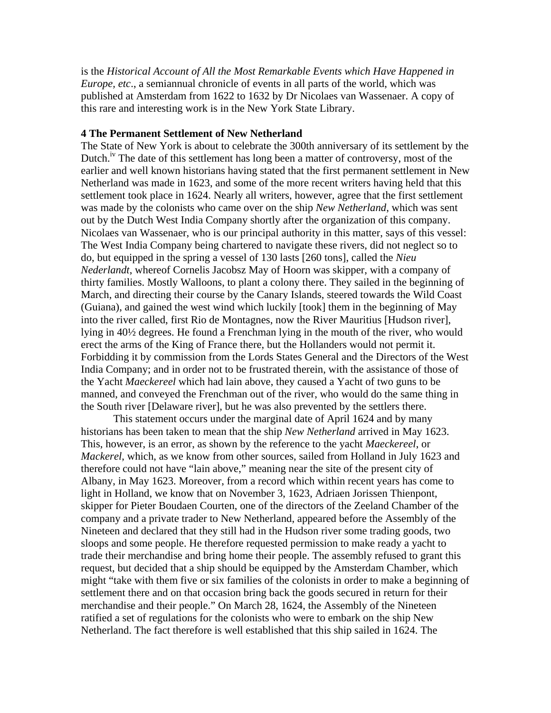is the *Historical Account of All the Most Remarkable Events which Have Happened in Europe, etc*., a semiannual chronicle of events in all parts of the world, which was published at Amsterdam from 1622 to 1632 by Dr Nicolaes van Wassenaer. A copy of this rare and interesting work is in the New York State Library.

# **4 The Permanent Settlement of New Netherland**

The State of New York is about to celebrate the 300th anniversary of its settlement by the Dutch.<sup>1v</sup> The date of this settlement has long been a matter of controversy, most of the earlier and well known historians having stated that the first permanent settlement in New Netherland was made in 1623, and some of the more recent writers having held that this settlement took place in 1624. Nearly all writers, however, agree that the first settlement was made by the colonists who came over on the ship *New Netherland*, which was sent out by the Dutch West India Company shortly after the organization of this company. Nicolaes van Wassenaer, who is our principal authority in this matter, says of this vessel: The West India Company being chartered to navigate these rivers, did not neglect so to do, but equipped in the spring a vessel of 130 lasts [260 tons], called the *Nieu Nederlandt*, whereof Cornelis Jacobsz May of Hoorn was skipper, with a company of thirty families. Mostly Walloons, to plant a colony there. They sailed in the beginning of March, and directing their course by the Canary Islands, steered towards the Wild Coast (Guiana), and gained the west wind which luckily [took] them in the beginning of May into the river called, first Rio de Montagnes, now the River Mauritius [Hudson river], lying in 40½ degrees. He found a Frenchman lying in the mouth of the river, who would erect the arms of the King of France there, but the Hollanders would not permit it. Forbidding it by commission from the Lords States General and the Directors of the West India Company; and in order not to be frustrated therein, with the assistance of those of the Yacht *Maeckereel* which had lain above, they caused a Yacht of two guns to be manned, and conveyed the Frenchman out of the river, who would do the same thing in the South river [Delaware river], but he was also prevented by the settlers there.

 This statement occurs under the marginal date of April 1624 and by many historians has been taken to mean that the ship *New Netherland* arrived in May 1623. This, however, is an error, as shown by the reference to the yacht *Maeckereel*, or *Mackerel*, which, as we know from other sources, sailed from Holland in July 1623 and therefore could not have "lain above," meaning near the site of the present city of Albany, in May 1623. Moreover, from a record which within recent years has come to light in Holland, we know that on November 3, 1623, Adriaen Jorissen Thienpont, skipper for Pieter Boudaen Courten, one of the directors of the Zeeland Chamber of the company and a private trader to New Netherland, appeared before the Assembly of the Nineteen and declared that they still had in the Hudson river some trading goods, two sloops and some people. He therefore requested permission to make ready a yacht to trade their merchandise and bring home their people. The assembly refused to grant this request, but decided that a ship should be equipped by the Amsterdam Chamber, which might "take with them five or six families of the colonists in order to make a beginning of settlement there and on that occasion bring back the goods secured in return for their merchandise and their people." On March 28, 1624, the Assembly of the Nineteen ratified a set of regulations for the colonists who were to embark on the ship New Netherland. The fact therefore is well established that this ship sailed in 1624. The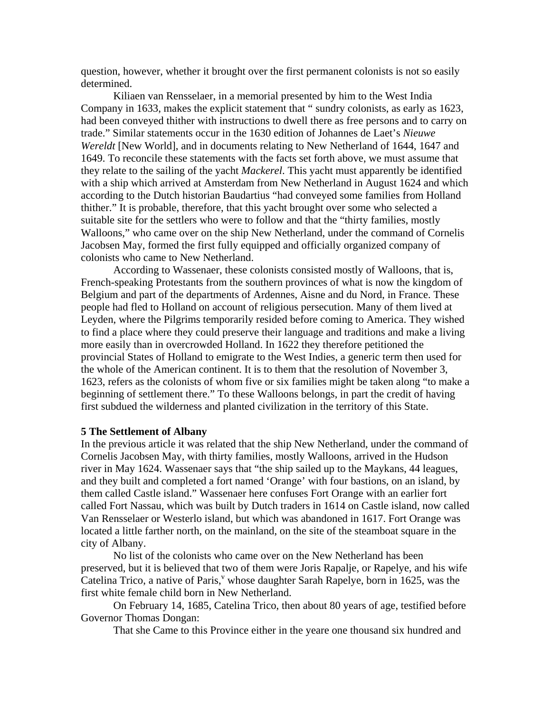question, however, whether it brought over the first permanent colonists is not so easily determined.

 Kiliaen van Rensselaer, in a memorial presented by him to the West India Company in 1633, makes the explicit statement that " sundry colonists, as early as 1623, had been conveyed thither with instructions to dwell there as free persons and to carry on trade." Similar statements occur in the 1630 edition of Johannes de Laet's *Nieuwe Wereldt* [New World], and in documents relating to New Netherland of 1644, 1647 and 1649. To reconcile these statements with the facts set forth above, we must assume that they relate to the sailing of the yacht *Mackerel*. This yacht must apparently be identified with a ship which arrived at Amsterdam from New Netherland in August 1624 and which according to the Dutch historian Baudartius "had conveyed some families from Holland thither." It is probable, therefore, that this yacht brought over some who selected a suitable site for the settlers who were to follow and that the "thirty families, mostly Walloons," who came over on the ship New Netherland, under the command of Cornelis Jacobsen May, formed the first fully equipped and officially organized company of colonists who came to New Netherland.

 According to Wassenaer, these colonists consisted mostly of Walloons, that is, French-speaking Protestants from the southern provinces of what is now the kingdom of Belgium and part of the departments of Ardennes, Aisne and du Nord, in France. These people had fled to Holland on account of religious persecution. Many of them lived at Leyden, where the Pilgrims temporarily resided before coming to America. They wished to find a place where they could preserve their language and traditions and make a living more easily than in overcrowded Holland. In 1622 they therefore petitioned the provincial States of Holland to emigrate to the West Indies, a generic term then used for the whole of the American continent. It is to them that the resolution of November 3, 1623, refers as the colonists of whom five or six families might be taken along "to make a beginning of settlement there." To these Walloons belongs, in part the credit of having first subdued the wilderness and planted civilization in the territory of this State.

#### **5 The Settlement of Albany**

In the previous article it was related that the ship New Netherland, under the command of Cornelis Jacobsen May, with thirty families, mostly Walloons, arrived in the Hudson river in May 1624. Wassenaer says that "the ship sailed up to the Maykans, 44 leagues, and they built and completed a fort named 'Orange' with four bastions, on an island, by them called Castle island." Wassenaer here confuses Fort Orange with an earlier fort called Fort Nassau, which was built by Dutch traders in 1614 on Castle island, now called Van Rensselaer or Westerlo island, but which was abandoned in 1617. Fort Orange was located a little farther north, on the mainland, on the site of the steamboat square in the city of Albany.

 No list of the colonists who came over on the New Netherland has been preserved, but it is believed that two of them were Joris Rapalje, or Rapelye, and his wife Catelina Trico, a nati[v](#page-19-4)e of Paris,  $v$  whose daughter Sarah Rapelye, born in 1625, was the first white female child born in New Netherland.

 On February 14, 1685, Catelina Trico, then about 80 years of age, testified before Governor Thomas Dongan:

That she Came to this Province either in the yeare one thousand six hundred and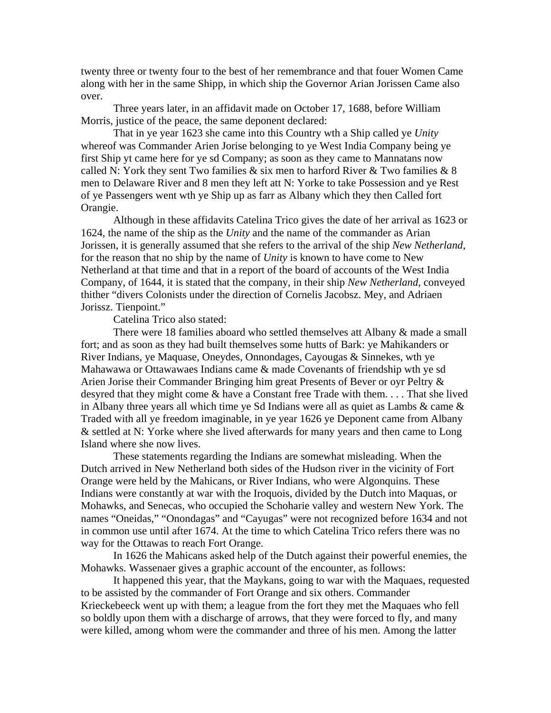twenty three or twenty four to the best of her remembrance and that fouer Women Came along with her in the same Shipp, in which ship the Governor Arian Jorissen Came also over.

 Three years later, in an affidavit made on October 17, 1688, before William Morris, justice of the peace, the same deponent declared:

 That in ye year 1623 she came into this Country wth a Ship called ye *Unity* whereof was Commander Arien Jorise belonging to ye West India Company being ye first Ship yt came here for ye sd Company; as soon as they came to Mannatans now called N: York they sent Two families  $\&$  six men to harford River  $\&$  Two families  $\&$  8 men to Delaware River and 8 men they left att N: Yorke to take Possession and ye Rest of ye Passengers went wth ye Ship up as farr as Albany which they then Called fort Orangie.

 Although in these affidavits Catelina Trico gives the date of her arrival as 1623 or 1624, the name of the ship as the *Unity* and the name of the commander as Arian Jorissen, it is generally assumed that she refers to the arrival of the ship *New Netherland*, for the reason that no ship by the name of *Unity* is known to have come to New Netherland at that time and that in a report of the board of accounts of the West India Company, of 1644, it is stated that the company, in their ship *New Netherland*, conveyed thither "divers Colonists under the direction of Cornelis Jacobsz. Mey, and Adriaen Jorissz. Tienpoint."

Catelina Trico also stated:

 There were 18 families aboard who settled themselves att Albany & made a small fort; and as soon as they had built themselves some hutts of Bark: ye Mahikanders or River Indians, ye Maquase, Oneydes, Onnondages, Cayougas & Sinnekes, wth ye Mahawawa or Ottawawaes Indians came & made Covenants of friendship wth ye sd Arien Jorise their Commander Bringing him great Presents of Bever or oyr Peltry & desyred that they might come & have a Constant free Trade with them. . . . That she lived in Albany three years all which time ye Sd Indians were all as quiet as Lambs  $\&$  came  $\&$ Traded with all ye freedom imaginable, in ye year 1626 ye Deponent came from Albany & settled at N: Yorke where she lived afterwards for many years and then came to Long Island where she now lives.

 These statements regarding the Indians are somewhat misleading. When the Dutch arrived in New Netherland both sides of the Hudson river in the vicinity of Fort Orange were held by the Mahicans, or River Indians, who were Algonquins. These Indians were constantly at war with the Iroquois, divided by the Dutch into Maquas, or Mohawks, and Senecas, who occupied the Schoharie valley and western New York. The names "Oneidas," "Onondagas" and "Cayugas" were not recognized before 1634 and not in common use until after 1674. At the time to which Catelina Trico refers there was no way for the Ottawas to reach Fort Orange.

 In 1626 the Mahicans asked help of the Dutch against their powerful enemies, the Mohawks. Wassenaer gives a graphic account of the encounter, as follows:

 It happened this year, that the Maykans, going to war with the Maquaes, requested to be assisted by the commander of Fort Orange and six others. Commander Krieckebeeck went up with them; a league from the fort they met the Maquaes who fell so boldly upon them with a discharge of arrows, that they were forced to fly, and many were killed, among whom were the commander and three of his men. Among the latter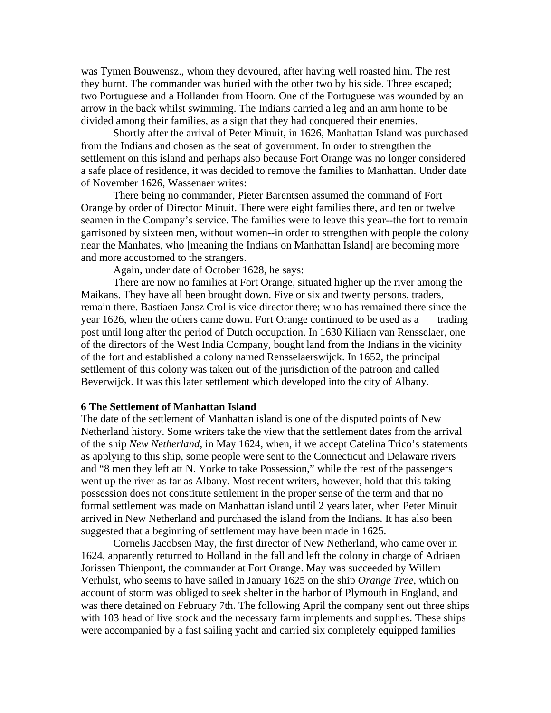was Tymen Bouwensz., whom they devoured, after having well roasted him. The rest they burnt. The commander was buried with the other two by his side. Three escaped; two Portuguese and a Hollander from Hoorn. One of the Portuguese was wounded by an arrow in the back whilst swimming. The Indians carried a leg and an arm home to be divided among their families, as a sign that they had conquered their enemies.

 Shortly after the arrival of Peter Minuit, in 1626, Manhattan Island was purchased from the Indians and chosen as the seat of government. In order to strengthen the settlement on this island and perhaps also because Fort Orange was no longer considered a safe place of residence, it was decided to remove the families to Manhattan. Under date of November 1626, Wassenaer writes:

 There being no commander, Pieter Barentsen assumed the command of Fort Orange by order of Director Minuit. There were eight families there, and ten or twelve seamen in the Company's service. The families were to leave this year--the fort to remain garrisoned by sixteen men, without women--in order to strengthen with people the colony near the Manhates, who [meaning the Indians on Manhattan Island] are becoming more and more accustomed to the strangers.

Again, under date of October 1628, he says:

 There are now no families at Fort Orange, situated higher up the river among the Maikans. They have all been brought down. Five or six and twenty persons, traders, remain there. Bastiaen Jansz Crol is vice director there; who has remained there since the year 1626, when the others came down. Fort Orange continued to be used as a trading post until long after the period of Dutch occupation. In 1630 Kiliaen van Rensselaer, one of the directors of the West India Company, bought land from the Indians in the vicinity of the fort and established a colony named Rensselaerswijck. In 1652, the principal settlement of this colony was taken out of the jurisdiction of the patroon and called Beverwijck. It was this later settlement which developed into the city of Albany.

#### **6 The Settlement of Manhattan Island**

The date of the settlement of Manhattan island is one of the disputed points of New Netherland history. Some writers take the view that the settlement dates from the arrival of the ship *New Netherland*, in May 1624, when, if we accept Catelina Trico's statements as applying to this ship, some people were sent to the Connecticut and Delaware rivers and "8 men they left att N. Yorke to take Possession," while the rest of the passengers went up the river as far as Albany. Most recent writers, however, hold that this taking possession does not constitute settlement in the proper sense of the term and that no formal settlement was made on Manhattan island until 2 years later, when Peter Minuit arrived in New Netherland and purchased the island from the Indians. It has also been suggested that a beginning of settlement may have been made in 1625.

 Cornelis Jacobsen May, the first director of New Netherland, who came over in 1624, apparently returned to Holland in the fall and left the colony in charge of Adriaen Jorissen Thienpont, the commander at Fort Orange. May was succeeded by Willem Verhulst, who seems to have sailed in January 1625 on the ship *Orange Tree*, which on account of storm was obliged to seek shelter in the harbor of Plymouth in England, and was there detained on February 7th. The following April the company sent out three ships with 103 head of live stock and the necessary farm implements and supplies. These ships were accompanied by a fast sailing yacht and carried six completely equipped families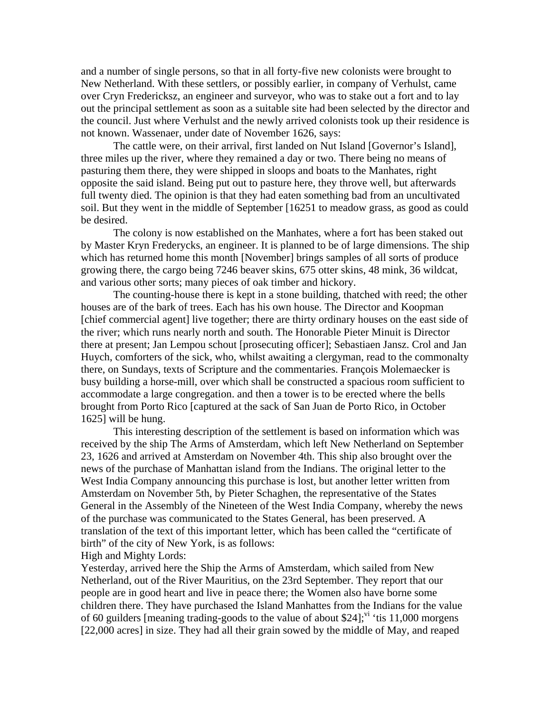and a number of single persons, so that in all forty-five new colonists were brought to New Netherland. With these settlers, or possibly earlier, in company of Verhulst, came over Cryn Fredericksz, an engineer and surveyor, who was to stake out a fort and to lay out the principal settlement as soon as a suitable site had been selected by the director and the council. Just where Verhulst and the newly arrived colonists took up their residence is not known. Wassenaer, under date of November 1626, says:

 The cattle were, on their arrival, first landed on Nut Island [Governor's Island], three miles up the river, where they remained a day or two. There being no means of pasturing them there, they were shipped in sloops and boats to the Manhates, right opposite the said island. Being put out to pasture here, they throve well, but afterwards full twenty died. The opinion is that they had eaten something bad from an uncultivated soil. But they went in the middle of September [16251 to meadow grass, as good as could be desired.

 The colony is now established on the Manhates, where a fort has been staked out by Master Kryn Frederycks, an engineer. It is planned to be of large dimensions. The ship which has returned home this month [November] brings samples of all sorts of produce growing there, the cargo being 7246 beaver skins, 675 otter skins, 48 mink, 36 wildcat, and various other sorts; many pieces of oak timber and hickory.

 The counting-house there is kept in a stone building, thatched with reed; the other houses are of the bark of trees. Each has his own house. The Director and Koopman [chief commercial agent] live together; there are thirty ordinary houses on the east side of the river; which runs nearly north and south. The Honorable Pieter Minuit is Director there at present; Jan Lempou schout [prosecuting officer]; Sebastiaen Jansz. Crol and Jan Huych, comforters of the sick, who, whilst awaiting a clergyman, read to the commonalty there, on Sundays, texts of Scripture and the commentaries. François Molemaecker is busy building a horse-mill, over which shall be constructed a spacious room sufficient to accommodate a large congregation. and then a tower is to be erected where the bells brought from Porto Rico [captured at the sack of San Juan de Porto Rico, in October 1625] will be hung.

 This interesting description of the settlement is based on information which was received by the ship The Arms of Amsterdam, which left New Netherland on September 23, 1626 and arrived at Amsterdam on November 4th. This ship also brought over the news of the purchase of Manhattan island from the Indians. The original letter to the West India Company announcing this purchase is lost, but another letter written from Amsterdam on November 5th, by Pieter Schaghen, the representative of the States General in the Assembly of the Nineteen of the West India Company, whereby the news of the purchase was communicated to the States General, has been preserved. A translation of the text of this important letter, which has been called the "certificate of birth" of the city of New York, is as follows:

High and Mighty Lords:

Yesterday, arrived here the Ship the Arms of Amsterdam, which sailed from New Netherland, out of the River Mauritius, on the 23rd September. They report that our people are in good heart and live in peace there; the Women also have borne some children there. They have purchased the Island Manhattes from the Indians for the value of 60 guilders [meaning trading-goods to the value of about  $24$ ];<sup>vi</sup> 'tis 11,000 morgens [22,000 acres] in size. They had all their grain sowed by the middle of May, and reaped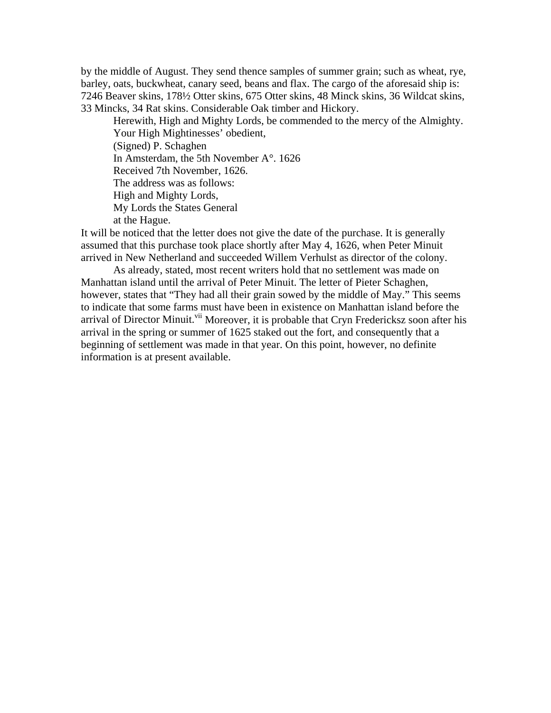by the middle of August. They send thence samples of summer grain; such as wheat, rye, barley, oats, buckwheat, canary seed, beans and flax. The cargo of the aforesaid ship is: 7246 Beaver skins, 178½ Otter skins, 675 Otter skins, 48 Minck skins, 36 Wildcat skins, 33 Mincks, 34 Rat skins. Considerable Oak timber and Hickory.

 Herewith, High and Mighty Lords, be commended to the mercy of the Almighty. Your High Mightinesses' obedient, (Signed) P. Schaghen In Amsterdam, the 5th November A°. 1626 Received 7th November, 1626. The address was as follows: High and Mighty Lords, My Lords the States General at the Hague.

It will be noticed that the letter does not give the date of the purchase. It is generally assumed that this purchase took place shortly after May 4, 1626, when Peter Minuit arrived in New Netherland and succeeded Willem Verhulst as director of the colony.

 As already, stated, most recent writers hold that no settlement was made on Manhattan island until the arrival of Peter Minuit. The letter of Pieter Schaghen, however, states that "They had all their grain sowed by the middle of May." This seems to indicate that some farms must have been in existence on Manhattan island before the arrival of Director Minuit.<sup>vii</sup> Moreover, it is probable that Cryn Fredericksz soon after his arrival in the spring or summer of 1625 staked out the fort, and consequently that a beginning of settlement was made in that year. On this point, however, no definite information is at present available.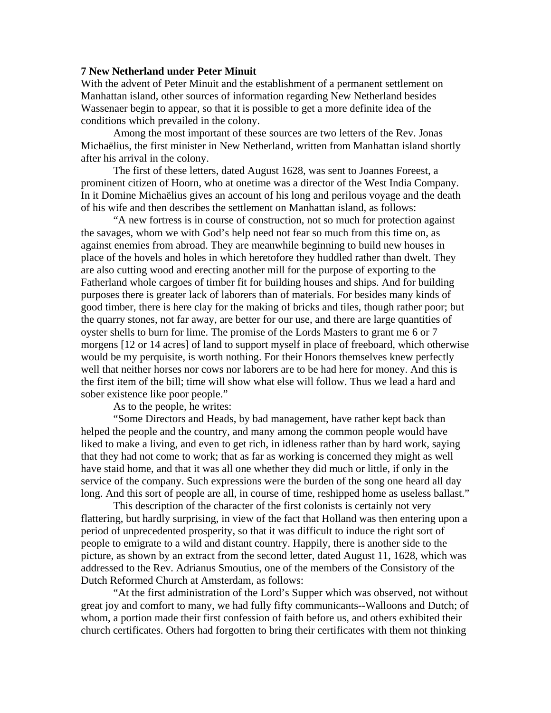# **7 New Netherland under Peter Minuit**

With the advent of Peter Minuit and the establishment of a permanent settlement on Manhattan island, other sources of information regarding New Netherland besides Wassenaer begin to appear, so that it is possible to get a more definite idea of the conditions which prevailed in the colony.

 Among the most important of these sources are two letters of the Rev. Jonas Michaëlius, the first minister in New Netherland, written from Manhattan island shortly after his arrival in the colony.

 The first of these letters, dated August 1628, was sent to Joannes Foreest, a prominent citizen of Hoorn, who at onetime was a director of the West India Company. In it Domine Michaëlius gives an account of his long and perilous voyage and the death of his wife and then describes the settlement on Manhattan island, as follows:

 "A new fortress is in course of construction, not so much for protection against the savages, whom we with God's help need not fear so much from this time on, as against enemies from abroad. They are meanwhile beginning to build new houses in place of the hovels and holes in which heretofore they huddled rather than dwelt. They are also cutting wood and erecting another mill for the purpose of exporting to the Fatherland whole cargoes of timber fit for building houses and ships. And for building purposes there is greater lack of laborers than of materials. For besides many kinds of good timber, there is here clay for the making of bricks and tiles, though rather poor; but the quarry stones, not far away, are better for our use, and there are large quantities of oyster shells to burn for lime. The promise of the Lords Masters to grant me 6 or 7 morgens [12 or 14 acres] of land to support myself in place of freeboard, which otherwise would be my perquisite, is worth nothing. For their Honors themselves knew perfectly well that neither horses nor cows nor laborers are to be had here for money. And this is the first item of the bill; time will show what else will follow. Thus we lead a hard and sober existence like poor people."

As to the people, he writes:

 "Some Directors and Heads, by bad management, have rather kept back than helped the people and the country, and many among the common people would have liked to make a living, and even to get rich, in idleness rather than by hard work, saying that they had not come to work; that as far as working is concerned they might as well have staid home, and that it was all one whether they did much or little, if only in the service of the company. Such expressions were the burden of the song one heard all day long. And this sort of people are all, in course of time, reshipped home as useless ballast."

 This description of the character of the first colonists is certainly not very flattering, but hardly surprising, in view of the fact that Holland was then entering upon a period of unprecedented prosperity, so that it was difficult to induce the right sort of people to emigrate to a wild and distant country. Happily, there is another side to the picture, as shown by an extract from the second letter, dated August 11, 1628, which was addressed to the Rev. Adrianus Smoutius, one of the members of the Consistory of the Dutch Reformed Church at Amsterdam, as follows:

 "At the first administration of the Lord's Supper which was observed, not without great joy and comfort to many, we had fully fifty communicants--Walloons and Dutch; of whom, a portion made their first confession of faith before us, and others exhibited their church certificates. Others had forgotten to bring their certificates with them not thinking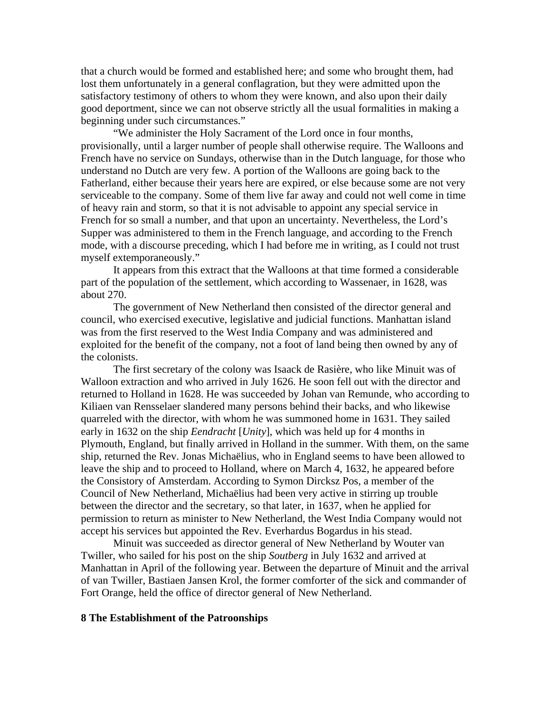that a church would be formed and established here; and some who brought them, had lost them unfortunately in a general conflagration, but they were admitted upon the satisfactory testimony of others to whom they were known, and also upon their daily good deportment, since we can not observe strictly all the usual formalities in making a beginning under such circumstances."

 "We administer the Holy Sacrament of the Lord once in four months, provisionally, until a larger number of people shall otherwise require. The Walloons and French have no service on Sundays, otherwise than in the Dutch language, for those who understand no Dutch are very few. A portion of the Walloons are going back to the Fatherland, either because their years here are expired, or else because some are not very serviceable to the company. Some of them live far away and could not well come in time of heavy rain and storm, so that it is not advisable to appoint any special service in French for so small a number, and that upon an uncertainty. Nevertheless, the Lord's Supper was administered to them in the French language, and according to the French mode, with a discourse preceding, which I had before me in writing, as I could not trust myself extemporaneously."

 It appears from this extract that the Walloons at that time formed a considerable part of the population of the settlement, which according to Wassenaer, in 1628, was about 270.

 The government of New Netherland then consisted of the director general and council, who exercised executive, legislative and judicial functions. Manhattan island was from the first reserved to the West India Company and was administered and exploited for the benefit of the company, not a foot of land being then owned by any of the colonists.

 The first secretary of the colony was Isaack de Rasière, who like Minuit was of Walloon extraction and who arrived in July 1626. He soon fell out with the director and returned to Holland in 1628. He was succeeded by Johan van Remunde, who according to Kiliaen van Rensselaer slandered many persons behind their backs, and who likewise quarreled with the director, with whom he was summoned home in 1631. They sailed early in 1632 on the ship *Eendracht* [*Unity*], which was held up for 4 months in Plymouth, England, but finally arrived in Holland in the summer. With them, on the same ship, returned the Rev. Jonas Michaëlius, who in England seems to have been allowed to leave the ship and to proceed to Holland, where on March 4, 1632, he appeared before the Consistory of Amsterdam. According to Symon Dircksz Pos, a member of the Council of New Netherland, Michaëlius had been very active in stirring up trouble between the director and the secretary, so that later, in 1637, when he applied for permission to return as minister to New Netherland, the West India Company would not accept his services but appointed the Rev. Everhardus Bogardus in his stead.

 Minuit was succeeded as director general of New Netherland by Wouter van Twiller, who sailed for his post on the ship *Soutberg* in July 1632 and arrived at Manhattan in April of the following year. Between the departure of Minuit and the arrival of van Twiller, Bastiaen Jansen Krol, the former comforter of the sick and commander of Fort Orange, held the office of director general of New Netherland.

#### **8 The Establishment of the Patroonships**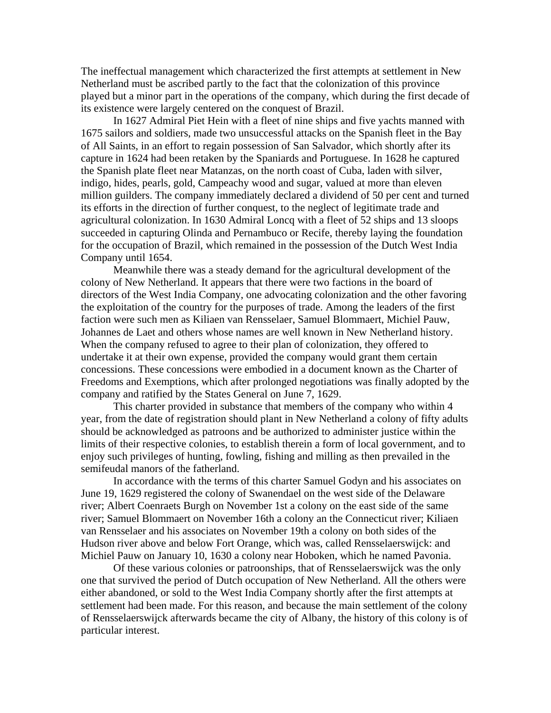The ineffectual management which characterized the first attempts at settlement in New Netherland must be ascribed partly to the fact that the colonization of this province played but a minor part in the operations of the company, which during the first decade of its existence were largely centered on the conquest of Brazil.

 In 1627 Admiral Piet Hein with a fleet of nine ships and five yachts manned with 1675 sailors and soldiers, made two unsuccessful attacks on the Spanish fleet in the Bay of All Saints, in an effort to regain possession of San Salvador, which shortly after its capture in 1624 had been retaken by the Spaniards and Portuguese. In 1628 he captured the Spanish plate fleet near Matanzas, on the north coast of Cuba, laden with silver, indigo, hides, pearls, gold, Campeachy wood and sugar, valued at more than eleven million guilders. The company immediately declared a dividend of 50 per cent and turned its efforts in the direction of further conquest, to the neglect of legitimate trade and agricultural colonization. In 1630 Admiral Loncq with a fleet of 52 ships and 13 sloops succeeded in capturing Olinda and Pernambuco or Recife, thereby laying the foundation for the occupation of Brazil, which remained in the possession of the Dutch West India Company until 1654.

 Meanwhile there was a steady demand for the agricultural development of the colony of New Netherland. It appears that there were two factions in the board of directors of the West India Company, one advocating colonization and the other favoring the exploitation of the country for the purposes of trade. Among the leaders of the first faction were such men as Kiliaen van Rensselaer, Samuel Blommaert, Michiel Pauw, Johannes de Laet and others whose names are well known in New Netherland history. When the company refused to agree to their plan of colonization, they offered to undertake it at their own expense, provided the company would grant them certain concessions. These concessions were embodied in a document known as the Charter of Freedoms and Exemptions, which after prolonged negotiations was finally adopted by the company and ratified by the States General on June 7, 1629.

 This charter provided in substance that members of the company who within 4 year, from the date of registration should plant in New Netherland a colony of fifty adults should be acknowledged as patroons and be authorized to administer justice within the limits of their respective colonies, to establish therein a form of local government, and to enjoy such privileges of hunting, fowling, fishing and milling as then prevailed in the semifeudal manors of the fatherland.

 In accordance with the terms of this charter Samuel Godyn and his associates on June 19, 1629 registered the colony of Swanendael on the west side of the Delaware river; Albert Coenraets Burgh on November 1st a colony on the east side of the same river; Samuel Blommaert on November 16th a colony an the Connecticut river; Kiliaen van Rensselaer and his associates on November 19th a colony on both sides of the Hudson river above and below Fort Orange, which was, called Rensselaerswijck: and Michiel Pauw on January 10, 1630 a colony near Hoboken, which he named Pavonia.

 Of these various colonies or patroonships, that of Rensselaerswijck was the only one that survived the period of Dutch occupation of New Netherland. All the others were either abandoned, or sold to the West India Company shortly after the first attempts at settlement had been made. For this reason, and because the main settlement of the colony of Rensselaerswijck afterwards became the city of Albany, the history of this colony is of particular interest.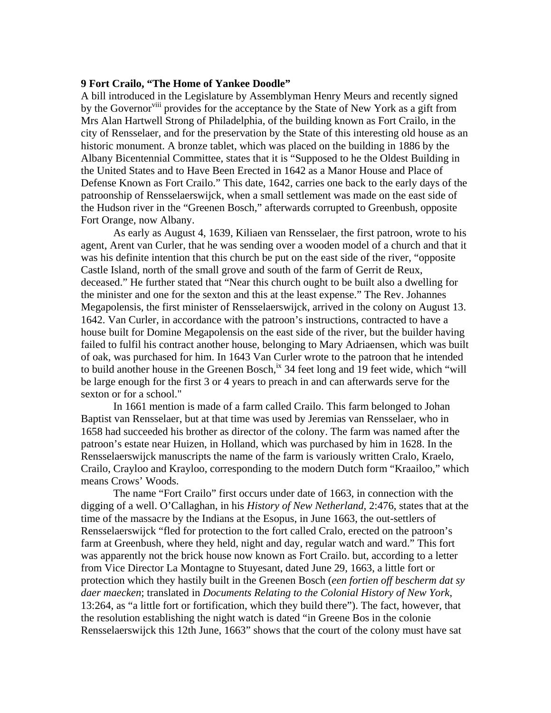#### **9 Fort Crailo, "The Home of Yankee Doodle"**

A bill introduced in the Legislature by Assemblyman Henry Meurs and recently signed by the Governor<sup>[viii](#page-19-7)</sup> provides for the acceptance by the State of New York as a gift from Mrs Alan Hartwell Strong of Philadelphia, of the building known as Fort Crailo, in the city of Rensselaer, and for the preservation by the State of this interesting old house as an historic monument. A bronze tablet, which was placed on the building in 1886 by the Albany Bicentennial Committee, states that it is "Supposed to he the Oldest Building in the United States and to Have Been Erected in 1642 as a Manor House and Place of Defense Known as Fort Crailo." This date, 1642, carries one back to the early days of the patroonship of Rensselaerswijck, when a small settlement was made on the east side of the Hudson river in the "Greenen Bosch," afterwards corrupted to Greenbush, opposite Fort Orange, now Albany.

 As early as August 4, 1639, Kiliaen van Rensselaer, the first patroon, wrote to his agent, Arent van Curler, that he was sending over a wooden model of a church and that it was his definite intention that this church be put on the east side of the river, "opposite Castle Island, north of the small grove and south of the farm of Gerrit de Reux, deceased." He further stated that "Near this church ought to be built also a dwelling for the minister and one for the sexton and this at the least expense." The Rev. Johannes Megapolensis, the first minister of Rensselaerswijck, arrived in the colony on August 13. 1642. Van Curler, in accordance with the patroon's instructions, contracted to have a house built for Domine Megapolensis on the east side of the river, but the builder having failed to fulfil his contract another house, belonging to Mary Adriaensen, which was built of oak, was purchased for him. In 1643 Van Curler wrote to the patroon that he intended to build another house in the Greenen Bosch, $\frac{1}{x}$  34 feet long and 19 feet wide, which "will be large enough for the first 3 or 4 years to preach in and can afterwards serve for the sexton or for a school."

 In 1661 mention is made of a farm called Crailo. This farm belonged to Johan Baptist van Rensselaer, but at that time was used by Jeremias van Rensselaer, who in 1658 had succeeded his brother as director of the colony. The farm was named after the patroon's estate near Huizen, in Holland, which was purchased by him in 1628. In the Rensselaerswijck manuscripts the name of the farm is variously written Cralo, Kraelo, Crailo, Crayloo and Krayloo, corresponding to the modern Dutch form "Kraailoo," which means Crows' Woods.

 The name "Fort Crailo" first occurs under date of 1663, in connection with the digging of a well. O'Callaghan, in his *History of New Netherland*, 2:476, states that at the time of the massacre by the Indians at the Esopus, in June 1663, the out-settlers of Rensselaerswijck "fled for protection to the fort called Cralo, erected on the patroon's farm at Greenbush, where they held, night and day, regular watch and ward." This fort was apparently not the brick house now known as Fort Crailo. but, according to a letter from Vice Director La Montagne to Stuyesant, dated June 29, 1663, a little fort or protection which they hastily built in the Greenen Bosch (*een fortien off bescherm dat sy daer maecken*; translated in *Documents Relating to the Colonial History of New York*, 13:264, as "a little fort or fortification, which they build there"). The fact, however, that the resolution establishing the night watch is dated "in Greene Bos in the colonie Rensselaerswijck this 12th June, 1663" shows that the court of the colony must have sat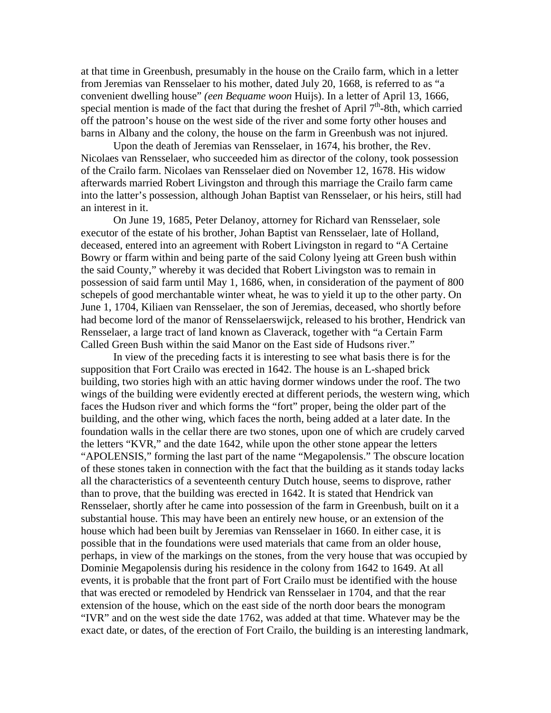at that time in Greenbush, presumably in the house on the Crailo farm, which in a letter from Jeremias van Rensselaer to his mother, dated July 20, 1668, is referred to as "a convenient dwelling house" *(een Bequame woon* Huijs). In a letter of April 13, 1666, special mention is made of the fact that during the freshet of April  $7<sup>th</sup>$ -8th, which carried off the patroon's house on the west side of the river and some forty other houses and barns in Albany and the colony, the house on the farm in Greenbush was not injured.

 Upon the death of Jeremias van Rensselaer, in 1674, his brother, the Rev. Nicolaes van Rensselaer, who succeeded him as director of the colony, took possession of the Crailo farm. Nicolaes van Rensselaer died on November 12, 1678. His widow afterwards married Robert Livingston and through this marriage the Crailo farm came into the latter's possession, although Johan Baptist van Rensselaer, or his heirs, still had an interest in it.

 On June 19, 1685, Peter Delanoy, attorney for Richard van Rensselaer, sole executor of the estate of his brother, Johan Baptist van Rensselaer, late of Holland, deceased, entered into an agreement with Robert Livingston in regard to "A Certaine Bowry or ffarm within and being parte of the said Colony lyeing att Green bush within the said County," whereby it was decided that Robert Livingston was to remain in possession of said farm until May 1, 1686, when, in consideration of the payment of 800 schepels of good merchantable winter wheat, he was to yield it up to the other party. On June 1, 1704, Kiliaen van Rensselaer, the son of Jeremias, deceased, who shortly before had become lord of the manor of Rensselaerswijck, released to his brother, Hendrick van Rensselaer, a large tract of land known as Claverack, together with "a Certain Farm Called Green Bush within the said Manor on the East side of Hudsons river."

 In view of the preceding facts it is interesting to see what basis there is for the supposition that Fort Crailo was erected in 1642. The house is an L-shaped brick building, two stories high with an attic having dormer windows under the roof. The two wings of the building were evidently erected at different periods, the western wing, which faces the Hudson river and which forms the "fort" proper, being the older part of the building, and the other wing, which faces the north, being added at a later date. In the foundation walls in the cellar there are two stones, upon one of which are crudely carved the letters "KVR," and the date 1642, while upon the other stone appear the letters "APOLENSIS," forming the last part of the name "Megapolensis." The obscure location of these stones taken in connection with the fact that the building as it stands today lacks all the characteristics of a seventeenth century Dutch house, seems to disprove, rather than to prove, that the building was erected in 1642. It is stated that Hendrick van Rensselaer, shortly after he came into possession of the farm in Greenbush, built on it a substantial house. This may have been an entirely new house, or an extension of the house which had been built by Jeremias van Rensselaer in 1660. In either case, it is possible that in the foundations were used materials that came from an older house, perhaps, in view of the markings on the stones, from the very house that was occupied by Dominie Megapolensis during his residence in the colony from 1642 to 1649. At all events, it is probable that the front part of Fort Crailo must be identified with the house that was erected or remodeled by Hendrick van Rensselaer in 1704, and that the rear extension of the house, which on the east side of the north door bears the monogram "IVR" and on the west side the date 1762, was added at that time. Whatever may be the exact date, or dates, of the erection of Fort Crailo, the building is an interesting landmark,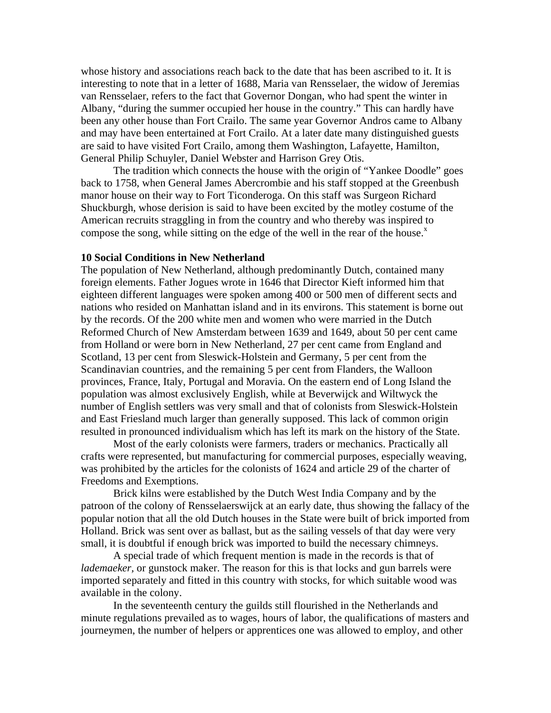whose history and associations reach back to the date that has been ascribed to it. It is interesting to note that in a letter of 1688, Maria van Rensselaer, the widow of Jeremias van Rensselaer, refers to the fact that Governor Dongan, who had spent the winter in Albany, "during the summer occupied her house in the country." This can hardly have been any other house than Fort Crailo. The same year Governor Andros came to Albany and may have been entertained at Fort Crailo. At a later date many distinguished guests are said to have visited Fort Crailo, among them Washington, Lafayette, Hamilton, General Philip Schuyler, Daniel Webster and Harrison Grey Otis.

 The tradition which connects the house with the origin of "Yankee Doodle" goes back to 1758, when General James Abercrombie and his staff stopped at the Greenbush manor house on their way to Fort Ticonderoga. On this staff was Surgeon Richard Shuckburgh, whose derision is said to have been excited by the motley costume of the American recruits straggling in from the country and who thereby was inspired to compose the song, while sitting on the edge of the well in the rear of the house. $^x$  $^x$ 

# **10 Social Conditions in New Netherland**

The population of New Netherland, although predominantly Dutch, contained many foreign elements. Father Jogues wrote in 1646 that Director Kieft informed him that eighteen different languages were spoken among 400 or 500 men of different sects and nations who resided on Manhattan island and in its environs. This statement is borne out by the records. Of the 200 white men and women who were married in the Dutch Reformed Church of New Amsterdam between 1639 and 1649, about 50 per cent came from Holland or were born in New Netherland, 27 per cent came from England and Scotland, 13 per cent from Sleswick-Holstein and Germany, 5 per cent from the Scandinavian countries, and the remaining 5 per cent from Flanders, the Walloon provinces, France, Italy, Portugal and Moravia. On the eastern end of Long Island the population was almost exclusively English, while at Beverwijck and Wiltwyck the number of English settlers was very small and that of colonists from Sleswick-Holstein and East Friesland much larger than generally supposed. This lack of common origin resulted in pronounced individualism which has left its mark on the history of the State.

 Most of the early colonists were farmers, traders or mechanics. Practically all crafts were represented, but manufacturing for commercial purposes, especially weaving, was prohibited by the articles for the colonists of 1624 and article 29 of the charter of Freedoms and Exemptions.

 Brick kilns were established by the Dutch West India Company and by the patroon of the colony of Rensselaerswijck at an early date, thus showing the fallacy of the popular notion that all the old Dutch houses in the State were built of brick imported from Holland. Brick was sent over as ballast, but as the sailing vessels of that day were very small, it is doubtful if enough brick was imported to build the necessary chimneys.

 A special trade of which frequent mention is made in the records is that of *lademaeker*, or gunstock maker. The reason for this is that locks and gun barrels were imported separately and fitted in this country with stocks, for which suitable wood was available in the colony.

 In the seventeenth century the guilds still flourished in the Netherlands and minute regulations prevailed as to wages, hours of labor, the qualifications of masters and journeymen, the number of helpers or apprentices one was allowed to employ, and other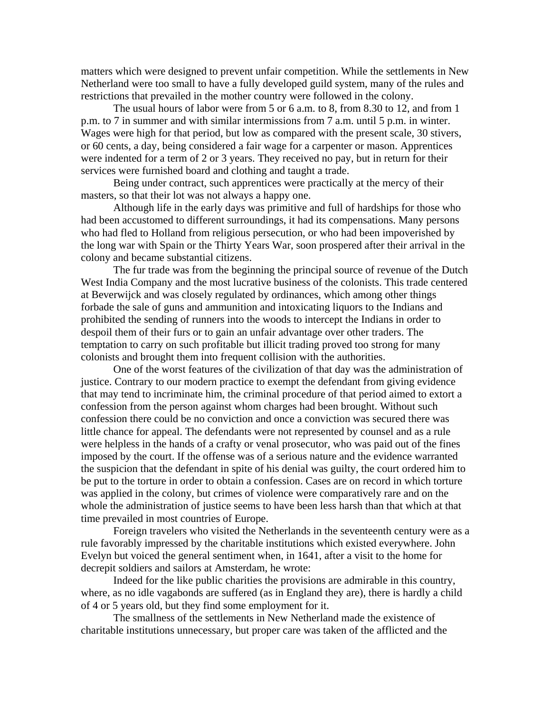matters which were designed to prevent unfair competition. While the settlements in New Netherland were too small to have a fully developed guild system, many of the rules and restrictions that prevailed in the mother country were followed in the colony.

 The usual hours of labor were from 5 or 6 a.m. to 8, from 8.30 to 12, and from 1 p.m. to 7 in summer and with similar intermissions from 7 a.m. until 5 p.m. in winter. Wages were high for that period, but low as compared with the present scale, 30 stivers, or 60 cents, a day, being considered a fair wage for a carpenter or mason. Apprentices were indented for a term of 2 or 3 years. They received no pay, but in return for their services were furnished board and clothing and taught a trade.

 Being under contract, such apprentices were practically at the mercy of their masters, so that their lot was not always a happy one.

 Although life in the early days was primitive and full of hardships for those who had been accustomed to different surroundings, it had its compensations. Many persons who had fled to Holland from religious persecution, or who had been impoverished by the long war with Spain or the Thirty Years War, soon prospered after their arrival in the colony and became substantial citizens.

 The fur trade was from the beginning the principal source of revenue of the Dutch West India Company and the most lucrative business of the colonists. This trade centered at Beverwijck and was closely regulated by ordinances, which among other things forbade the sale of guns and ammunition and intoxicating liquors to the Indians and prohibited the sending of runners into the woods to intercept the Indians in order to despoil them of their furs or to gain an unfair advantage over other traders. The temptation to carry on such profitable but illicit trading proved too strong for many colonists and brought them into frequent collision with the authorities.

 One of the worst features of the civilization of that day was the administration of justice. Contrary to our modern practice to exempt the defendant from giving evidence that may tend to incriminate him, the criminal procedure of that period aimed to extort a confession from the person against whom charges had been brought. Without such confession there could be no conviction and once a conviction was secured there was little chance for appeal. The defendants were not represented by counsel and as a rule were helpless in the hands of a crafty or venal prosecutor, who was paid out of the fines imposed by the court. If the offense was of a serious nature and the evidence warranted the suspicion that the defendant in spite of his denial was guilty, the court ordered him to be put to the torture in order to obtain a confession. Cases are on record in which torture was applied in the colony, but crimes of violence were comparatively rare and on the whole the administration of justice seems to have been less harsh than that which at that time prevailed in most countries of Europe.

 Foreign travelers who visited the Netherlands in the seventeenth century were as a rule favorably impressed by the charitable institutions which existed everywhere. John Evelyn but voiced the general sentiment when, in 1641, after a visit to the home for decrepit soldiers and sailors at Amsterdam, he wrote:

 Indeed for the like public charities the provisions are admirable in this country, where, as no idle vagabonds are suffered (as in England they are), there is hardly a child of 4 or 5 years old, but they find some employment for it.

 The smallness of the settlements in New Netherland made the existence of charitable institutions unnecessary, but proper care was taken of the afflicted and the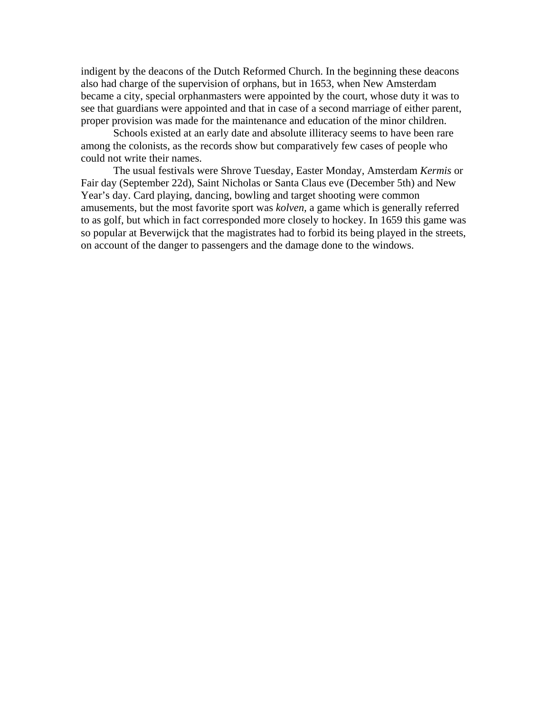indigent by the deacons of the Dutch Reformed Church. In the beginning these deacons also had charge of the supervision of orphans, but in 1653, when New Amsterdam became a city, special orphanmasters were appointed by the court, whose duty it was to see that guardians were appointed and that in case of a second marriage of either parent, proper provision was made for the maintenance and education of the minor children.

 Schools existed at an early date and absolute illiteracy seems to have been rare among the colonists, as the records show but comparatively few cases of people who could not write their names.

 The usual festivals were Shrove Tuesday, Easter Monday, Amsterdam *Kermis* or Fair day (September 22d), Saint Nicholas or Santa Claus eve (December 5th) and New Year's day. Card playing, dancing, bowling and target shooting were common amusements, but the most favorite sport was *kolven,* a game which is generally referred to as golf, but which in fact corresponded more closely to hockey. In 1659 this game was so popular at Beverwijck that the magistrates had to forbid its being played in the streets, on account of the danger to passengers and the damage done to the windows.